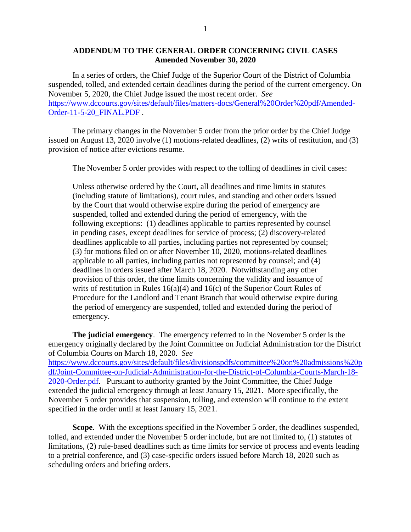## **ADDENDUM TO THE GENERAL ORDER CONCERNING CIVIL CASES Amended November 30, 2020**

In a series of orders, the Chief Judge of the Superior Court of the District of Columbia suspended, tolled, and extended certain deadlines during the period of the current emergency. On November 5, 2020, the Chief Judge issued the most recent order. *See* [https://www.dccourts.gov/sites/default/files/matters-docs/General%20Order%20pdf/Amended-](https://www.dccourts.gov/sites/default/files/matters-docs/General%20Order%20pdf/Amended-Order-11-5-20_FINAL.PDF)[Order-11-5-20\\_FINAL.PDF](https://www.dccourts.gov/sites/default/files/matters-docs/General%20Order%20pdf/Amended-Order-11-5-20_FINAL.PDF) .

The primary changes in the November 5 order from the prior order by the Chief Judge issued on August 13, 2020 involve (1) motions-related deadlines, (2) writs of restitution, and (3) provision of notice after evictions resume.

The November 5 order provides with respect to the tolling of deadlines in civil cases:

Unless otherwise ordered by the Court, all deadlines and time limits in statutes (including statute of limitations), court rules, and standing and other orders issued by the Court that would otherwise expire during the period of emergency are suspended, tolled and extended during the period of emergency, with the following exceptions: (1) deadlines applicable to parties represented by counsel in pending cases, except deadlines for service of process; (2) discovery-related deadlines applicable to all parties, including parties not represented by counsel; (3) for motions filed on or after November 10, 2020, motions-related deadlines applicable to all parties, including parties not represented by counsel; and (4) deadlines in orders issued after March 18, 2020. Notwithstanding any other provision of this order, the time limits concerning the validity and issuance of writs of restitution in Rules  $16(a)(4)$  and  $16(c)$  of the Superior Court Rules of Procedure for the Landlord and Tenant Branch that would otherwise expire during the period of emergency are suspended, tolled and extended during the period of emergency.

**The judicial emergency**. The emergency referred to in the November 5 order is the emergency originally declared by the Joint Committee on Judicial Administration for the District of Columbia Courts on March 18, 2020. *See* [https://www.dccourts.gov/sites/default/files/divisionspdfs/committee%20on%20admissions%20p](https://www.dccourts.gov/sites/default/files/divisionspdfs/committee%20on%20admissions%20pdf/Joint-Committee-on-Judicial-Administration-for-the-District-of-Columbia-Courts-March-18-2020-Order.pdf) [df/Joint-Committee-on-Judicial-Administration-for-the-District-of-Columbia-Courts-March-18-](https://www.dccourts.gov/sites/default/files/divisionspdfs/committee%20on%20admissions%20pdf/Joint-Committee-on-Judicial-Administration-for-the-District-of-Columbia-Courts-March-18-2020-Order.pdf) [2020-Order.pdf.](https://www.dccourts.gov/sites/default/files/divisionspdfs/committee%20on%20admissions%20pdf/Joint-Committee-on-Judicial-Administration-for-the-District-of-Columbia-Courts-March-18-2020-Order.pdf) Pursuant to authority granted by the Joint Committee, the Chief Judge extended the judicial emergency through at least January 15, 2021. More specifically, the November 5 order provides that suspension, tolling, and extension will continue to the extent specified in the order until at least January 15, 2021.

**Scope**. With the exceptions specified in the November 5 order, the deadlines suspended, tolled, and extended under the November 5 order include, but are not limited to, (1) statutes of limitations, (2) rule-based deadlines such as time limits for service of process and events leading to a pretrial conference, and (3) case-specific orders issued before March 18, 2020 such as scheduling orders and briefing orders.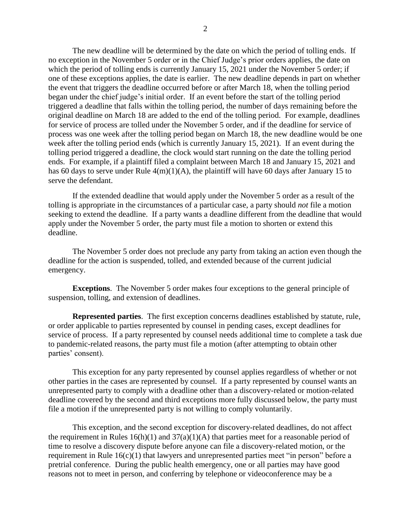The new deadline will be determined by the date on which the period of tolling ends. If no exception in the November 5 order or in the Chief Judge's prior orders applies, the date on which the period of tolling ends is currently January 15, 2021 under the November 5 order; if one of these exceptions applies, the date is earlier. The new deadline depends in part on whether the event that triggers the deadline occurred before or after March 18, when the tolling period began under the chief judge's initial order. If an event before the start of the tolling period triggered a deadline that falls within the tolling period, the number of days remaining before the original deadline on March 18 are added to the end of the tolling period. For example, deadlines for service of process are tolled under the November 5 order, and if the deadline for service of process was one week after the tolling period began on March 18, the new deadline would be one week after the tolling period ends (which is currently January 15, 2021). If an event during the tolling period triggered a deadline, the clock would start running on the date the tolling period ends. For example, if a plaintiff filed a complaint between March 18 and January 15, 2021 and has 60 days to serve under Rule  $4(m)(1)(A)$ , the plaintiff will have 60 days after January 15 to serve the defendant.

If the extended deadline that would apply under the November 5 order as a result of the tolling is appropriate in the circumstances of a particular case, a party should *not* file a motion seeking to extend the deadline. If a party wants a deadline different from the deadline that would apply under the November 5 order, the party must file a motion to shorten or extend this deadline.

The November 5 order does not preclude any party from taking an action even though the deadline for the action is suspended, tolled, and extended because of the current judicial emergency.

**Exceptions**. The November 5 order makes four exceptions to the general principle of suspension, tolling, and extension of deadlines.

**Represented parties**. The first exception concerns deadlines established by statute, rule, or order applicable to parties represented by counsel in pending cases, except deadlines for service of process. If a party represented by counsel needs additional time to complete a task due to pandemic-related reasons, the party must file a motion (after attempting to obtain other parties' consent).

This exception for any party represented by counsel applies regardless of whether or not other parties in the cases are represented by counsel. If a party represented by counsel wants an unrepresented party to comply with a deadline other than a discovery-related or motion-related deadline covered by the second and third exceptions more fully discussed below, the party must file a motion if the unrepresented party is not willing to comply voluntarily.

This exception, and the second exception for discovery-related deadlines, do not affect the requirement in Rules  $16(h)(1)$  and  $37(a)(1)(A)$  that parties meet for a reasonable period of time to resolve a discovery dispute before anyone can file a discovery-related motion, or the requirement in Rule 16(c)(1) that lawyers and unrepresented parties meet "in person" before a pretrial conference. During the public health emergency, one or all parties may have good reasons not to meet in person, and conferring by telephone or videoconference may be a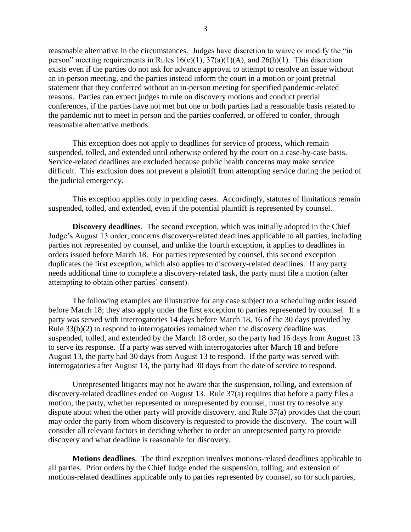reasonable alternative in the circumstances. Judges have discretion to waive or modify the "in person" meeting requirements in Rules  $16(c)(1)$ ,  $37(a)(1)(A)$ , and  $26(h)(1)$ . This discretion exists even if the parties do not ask for advance approval to attempt to resolve an issue without an in-person meeting, and the parties instead inform the court in a motion or joint pretrial statement that they conferred without an in-person meeting for specified pandemic-related reasons. Parties can expect judges to rule on discovery motions and conduct pretrial conferences, if the parties have not met but one or both parties had a reasonable basis related to the pandemic not to meet in person and the parties conferred, or offered to confer, through reasonable alternative methods.

This exception does not apply to deadlines for service of process, which remain suspended, tolled, and extended until otherwise ordered by the court on a case-by-case basis. Service-related deadlines are excluded because public health concerns may make service difficult. This exclusion does not prevent a plaintiff from attempting service during the period of the judicial emergency.

This exception applies only to pending cases. Accordingly, statutes of limitations remain suspended, tolled, and extended, even if the potential plaintiff is represented by counsel.

**Discovery deadlines**. The second exception, which was initially adopted in the Chief Judge's August 13 order, concerns discovery-related deadlines applicable to all parties, including parties not represented by counsel, and unlike the fourth exception, it applies to deadlines in orders issued before March 18. For parties represented by counsel, this second exception duplicates the first exception, which also applies to discovery-related deadlines. If any party needs additional time to complete a discovery-related task, the party must file a motion (after attempting to obtain other parties' consent).

The following examples are illustrative for any case subject to a scheduling order issued before March 18; they also apply under the first exception to parties represented by counsel. If a party was served with interrogatories 14 days before March 18, 16 of the 30 days provided by Rule 33(b)(2) to respond to interrogatories remained when the discovery deadline was suspended, tolled, and extended by the March 18 order, so the party had 16 days from August 13 to serve its response. If a party was served with interrogatories after March 18 and before August 13, the party had 30 days from August 13 to respond. If the party was served with interrogatories after August 13, the party had 30 days from the date of service to respond.

Unrepresented litigants may not be aware that the suspension, tolling, and extension of discovery-related deadlines ended on August 13. Rule 37(a) requires that before a party files a motion, the party, whether represented or unrepresented by counsel, must try to resolve any dispute about when the other party will provide discovery, and Rule 37(a) provides that the court may order the party from whom discovery is requested to provide the discovery. The court will consider all relevant factors in deciding whether to order an unrepresented party to provide discovery and what deadline is reasonable for discovery.

**Motions deadlines**. The third exception involves motions-related deadlines applicable to all parties. Prior orders by the Chief Judge ended the suspension, tolling, and extension of motions-related deadlines applicable only to parties represented by counsel, so for such parties,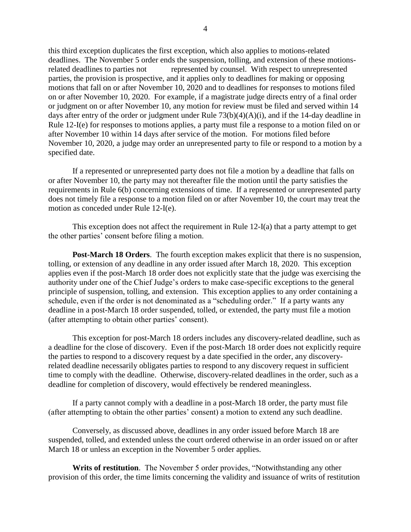this third exception duplicates the first exception, which also applies to motions-related deadlines. The November 5 order ends the suspension, tolling, and extension of these motionsrelated deadlines to parties not represented by counsel. With respect to unrepresented parties, the provision is prospective, and it applies only to deadlines for making or opposing motions that fall on or after November 10, 2020 and to deadlines for responses to motions filed on or after November 10, 2020. For example, if a magistrate judge directs entry of a final order or judgment on or after November 10, any motion for review must be filed and served within 14 days after entry of the order or judgment under Rule 73(b)(4)(A)(i), and if the 14-day deadline in Rule 12-I(e) for responses to motions applies, a party must file a response to a motion filed on or after November 10 within 14 days after service of the motion. For motions filed before November 10, 2020, a judge may order an unrepresented party to file or respond to a motion by a specified date.

If a represented or unrepresented party does not file a motion by a deadline that falls on or after November 10, the party may not thereafter file the motion until the party satisfies the requirements in Rule 6(b) concerning extensions of time. If a represented or unrepresented party does not timely file a response to a motion filed on or after November 10, the court may treat the motion as conceded under Rule 12-I(e).

This exception does not affect the requirement in Rule 12-I(a) that a party attempt to get the other parties' consent before filing a motion.

**Post-March 18 Orders**. The fourth exception makes explicit that there is no suspension, tolling, or extension of any deadline in any order issued after March 18, 2020. This exception applies even if the post-March 18 order does not explicitly state that the judge was exercising the authority under one of the Chief Judge's orders to make case-specific exceptions to the general principle of suspension, tolling, and extension. This exception applies to any order containing a schedule, even if the order is not denominated as a "scheduling order." If a party wants any deadline in a post-March 18 order suspended, tolled, or extended, the party must file a motion (after attempting to obtain other parties' consent).

This exception for post-March 18 orders includes any discovery-related deadline, such as a deadline for the close of discovery. Even if the post-March 18 order does not explicitly require the parties to respond to a discovery request by a date specified in the order, any discoveryrelated deadline necessarily obligates parties to respond to any discovery request in sufficient time to comply with the deadline. Otherwise, discovery-related deadlines in the order, such as a deadline for completion of discovery, would effectively be rendered meaningless.

If a party cannot comply with a deadline in a post-March 18 order, the party must file (after attempting to obtain the other parties' consent) a motion to extend any such deadline.

Conversely, as discussed above, deadlines in any order issued before March 18 are suspended, tolled, and extended unless the court ordered otherwise in an order issued on or after March 18 or unless an exception in the November 5 order applies.

**Writs of restitution**. The November 5 order provides, "Notwithstanding any other provision of this order, the time limits concerning the validity and issuance of writs of restitution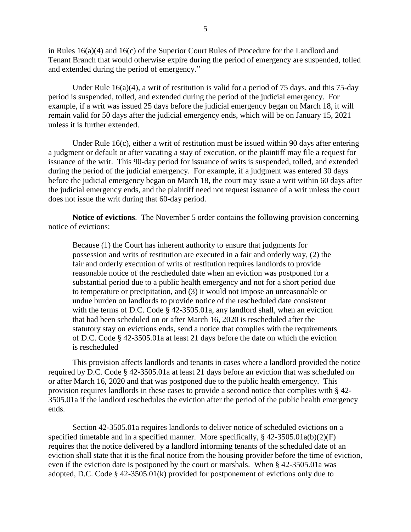in Rules 16(a)(4) and 16(c) of the Superior Court Rules of Procedure for the Landlord and Tenant Branch that would otherwise expire during the period of emergency are suspended, tolled and extended during the period of emergency."

Under Rule  $16(a)(4)$ , a writ of restitution is valid for a period of 75 days, and this 75-day period is suspended, tolled, and extended during the period of the judicial emergency. For example, if a writ was issued 25 days before the judicial emergency began on March 18, it will remain valid for 50 days after the judicial emergency ends, which will be on January 15, 2021 unless it is further extended.

Under Rule  $16(c)$ , either a writ of restitution must be issued within 90 days after entering a judgment or default or after vacating a stay of execution, or the plaintiff may file a request for issuance of the writ. This 90-day period for issuance of writs is suspended, tolled, and extended during the period of the judicial emergency. For example, if a judgment was entered 30 days before the judicial emergency began on March 18, the court may issue a writ within 60 days after the judicial emergency ends, and the plaintiff need not request issuance of a writ unless the court does not issue the writ during that 60-day period.

**Notice of evictions**. The November 5 order contains the following provision concerning notice of evictions:

Because (1) the Court has inherent authority to ensure that judgments for possession and writs of restitution are executed in a fair and orderly way, (2) the fair and orderly execution of writs of restitution requires landlords to provide reasonable notice of the rescheduled date when an eviction was postponed for a substantial period due to a public health emergency and not for a short period due to temperature or precipitation, and (3) it would not impose an unreasonable or undue burden on landlords to provide notice of the rescheduled date consistent with the terms of D.C. Code § 42-3505.01a, any landlord shall, when an eviction that had been scheduled on or after March 16, 2020 is rescheduled after the statutory stay on evictions ends, send a notice that complies with the requirements of D.C. Code § 42-3505.01a at least 21 days before the date on which the eviction is rescheduled

This provision affects landlords and tenants in cases where a landlord provided the notice required by D.C. Code § 42-3505.01a at least 21 days before an eviction that was scheduled on or after March 16, 2020 and that was postponed due to the public health emergency. This provision requires landlords in these cases to provide a second notice that complies with § 42- 3505.01a if the landlord reschedules the eviction after the period of the public health emergency ends.

Section 42-3505.01a requires landlords to deliver notice of scheduled evictions on a specified timetable and in a specified manner. More specifically,  $\S$  42-3505.01a(b)(2)(F) requires that the notice delivered by a landlord informing tenants of the scheduled date of an eviction shall state that it is the final notice from the housing provider before the time of eviction, even if the eviction date is postponed by the court or marshals. When § 42-3505.01a was adopted, D.C. Code § 42-3505.01(k) provided for postponement of evictions only due to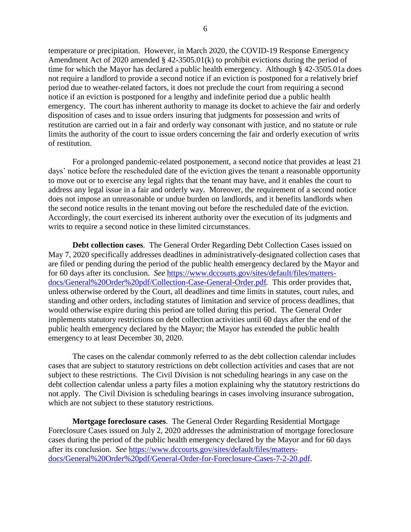temperature or precipitation. However, in March 2020, the COVID-19 Response Emergency Amendment Act of 2020 amended § 42-3505.01(k) to prohibit evictions during the period of time for which the Mayor has declared a public health emergency. Although § 42-3505.01a does not require a landlord to provide a second notice if an eviction is postponed for a relatively brief period due to weather-related factors, it does not preclude the court from requiring a second notice if an eviction is postponed for a lengthy and indefinite period due a public health emergency. The court has inherent authority to manage its docket to achieve the fair and orderly disposition of cases and to issue orders insuring that judgments for possession and writs of restitution are carried out in a fair and orderly way consonant with justice, and no statute or rule limits the authority of the court to issue orders concerning the fair and orderly execution of writs of restitution.

For a prolonged pandemic-related postponement, a second notice that provides at least 21 days' notice before the rescheduled date of the eviction gives the tenant a reasonable opportunity to move out or to exercise any legal rights that the tenant may have, and it enables the court to address any legal issue in a fair and orderly way. Moreover, the requirement of a second notice does not impose an unreasonable or undue burden on landlords, and it benefits landlords when the second notice results in the tenant moving out before the rescheduled date of the eviction. Accordingly, the court exercised its inherent authority over the execution of its judgments and writs to require a second notice in these limited circumstances.

**Debt collection cases**. The General Order Regarding Debt Collection Cases issued on May 7, 2020 specifically addresses deadlines in administratively-designated collection cases that are filed or pending during the period of the public health emergency declared by the Mayor and for 60 days after its conclusion. *See* [https://www.dccourts.gov/sites/default/files/matters](https://www.dccourts.gov/sites/default/files/matters-docs/General%20Order%20pdf/Collection-Case-General-Order.pdf)[docs/General%20Order%20pdf/Collection-Case-General-Order.pdf](https://www.dccourts.gov/sites/default/files/matters-docs/General%20Order%20pdf/Collection-Case-General-Order.pdf)*.* This order provides that, unless otherwise ordered by the Court, all deadlines and time limits in statutes, court rules, and standing and other orders, including statutes of limitation and service of process deadlines, that would otherwise expire during this period are tolled during this period. The General Order implements statutory restrictions on debt collection activities until 60 days after the end of the public health emergency declared by the Mayor; the Mayor has extended the public health emergency to at least December 30, 2020.

The cases on the calendar commonly referred to as the debt collection calendar includes cases that are subject to statutory restrictions on debt collection activities and cases that are not subject to these restrictions. The Civil Division is not scheduling hearings in any case on the debt collection calendar unless a party files a motion explaining why the statutory restrictions do not apply. The Civil Division is scheduling hearings in cases involving insurance subrogation, which are not subject to these statutory restrictions.

**Mortgage foreclosure cases**. The General Order Regarding Residential Mortgage Foreclosure Cases issued on July 2, 2020 addresses the administration of mortgage foreclosure cases during the period of the public health emergency declared by the Mayor and for 60 days after its conclusion. *See* [https://www.dccourts.gov/sites/default/files/matters](https://www.dccourts.gov/sites/default/files/matters-docs/General%20Order%20pdf/General-Order-for-Foreclosure-Cases-7-2-20.pdf)[docs/General%20Order%20pdf/General-Order-for-Foreclosure-Cases-7-2-20.pdf.](https://www.dccourts.gov/sites/default/files/matters-docs/General%20Order%20pdf/General-Order-for-Foreclosure-Cases-7-2-20.pdf)